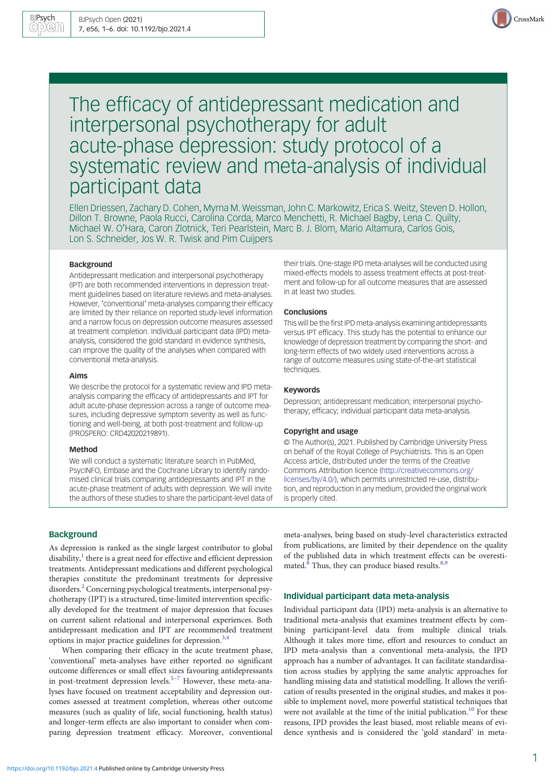

# The efficacy of antidepressant medication and interpersonal psychotherapy for adult acute-phase depression: study protocol of a systematic review and meta-analysis of individual participant data

Ellen Driessen, Zachary D. Cohen, Myrna M. Weissman, John C. Markowitz, Erica S. Weitz, Steven D. Hollon, Dillon T. Browne, Paola Rucci, Carolina Corda, Marco Menchetti, R. Michael Bagby, Lena C. Quilty, Michael W. O'Hara, Caron Zlotnick, Teri Pearlstein, Marc B. J. Blom, Mario Altamura, Carlos Gois, Lon S. Schneider, Jos W. R. Twisk and Pim Cuijpers

#### Background

Antidepressant medication and interpersonal psychotherapy (IPT) are both recommended interventions in depression treatment guidelines based on literature reviews and meta-analyses. However, 'conventional' meta-analyses comparing their efficacy are limited by their reliance on reported study-level information and a narrow focus on depression outcome measures assessed at treatment completion. Individual participant data (IPD) metaanalysis, considered the gold standard in evidence synthesis, can improve the quality of the analyses when compared with conventional meta-analysis.

#### Aims

We describe the protocol for a systematic review and IPD metaanalysis comparing the efficacy of antidepressants and IPT for adult acute-phase depression across a range of outcome measures, including depressive symptom severity as well as functioning and well-being, at both post-treatment and follow-up (PROSPERO: CRD42020219891).

#### Method

We will conduct a systematic literature search in PubMed, PsycINFO, Embase and the Cochrane Library to identify randomised clinical trials comparing antidepressants and IPT in the acute-phase treatment of adults with depression. We will invite the authors of these studies to share the participant-level data of their trials. One-stage IPD meta-analyses will be conducted using mixed-effects models to assess treatment effects at post-treatment and follow-up for all outcome measures that are assessed in at least two studies.

#### **Conclusions**

This will be the first IPD meta-analysis examining antidepressants versus IPT efficacy. This study has the potential to enhance our knowledge of depression treatment by comparing the short- and long-term effects of two widely used interventions across a range of outcome measures using state-of-the-art statistical techniques.

#### Keywords

Depression; antidepressant medication; interpersonal psychotherapy; efficacy; individual participant data meta-analysis.

### Copyright and usage

© The Author(s), 2021. Published by Cambridge University Press on behalf of the Royal College of Psychiatrists. This is an Open Access article, distributed under the terms of the Creative Commons Attribution licence [\(http://creativecommons.org/](http://creativecommons.org/licenses/by/4.0/) [licenses/by/4.0/](http://creativecommons.org/licenses/by/4.0/)), which permits unrestricted re-use, distribution, and reproduction in any medium, provided the original work is properly cited.

# **Background**

As depression is ranked as the single largest contributor to global disability, $\frac{1}{1}$  $\frac{1}{1}$  $\frac{1}{1}$  there is a great need for effective and efficient depression treatments. Antidepressant medications and different psychological therapies constitute the predominant treatments for depressive disorders.[2](#page-4-0) Concerning psychological treatments, interpersonal psychotherapy (IPT) is a structured, time-limited intervention specifically developed for the treatment of major depression that focuses on current salient relational and interpersonal experiences. Both antidepressant medication and IPT are recommended treatment options in major practice guidelines for depression.<sup>[3](#page-4-0),[4](#page-4-0)</sup>

When comparing their efficacy in the acute treatment phase, 'conventional' meta-analyses have either reported no significant outcome differences or small effect sizes favouring antidepressants in post-treatment depression levels. $5-7$  $5-7$  However, these meta-analyses have focused on treatment acceptability and depression outcomes assessed at treatment completion, whereas other outcome measures (such as quality of life, social functioning, health status) and longer-term effects are also important to consider when comparing depression treatment efficacy. Moreover, conventional meta-analyses, being based on study-level characteristics extracted from publications, are limited by their dependence on the quality of the published data in which treatment effects can be overestimated. $8$  Thus, they can produce biased results. $8,9$ 

## Individual participant data meta-analysis

Individual participant data (IPD) meta-analysis is an alternative to traditional meta-analysis that examines treatment effects by combining participant-level data from multiple clinical trials. Although it takes more time, effort and resources to conduct an IPD meta-analysis than a conventional meta-analysis, the IPD approach has a number of advantages. It can facilitate standardisation across studies by applying the same analytic approaches for handling missing data and statistical modelling. It allows the verification of results presented in the original studies, and makes it possible to implement novel, more powerful statistical techniques that were not available at the time of the initial publication.<sup>10</sup> For these reasons, IPD provides the least biased, most reliable means of evidence synthesis and is considered the 'gold standard' in meta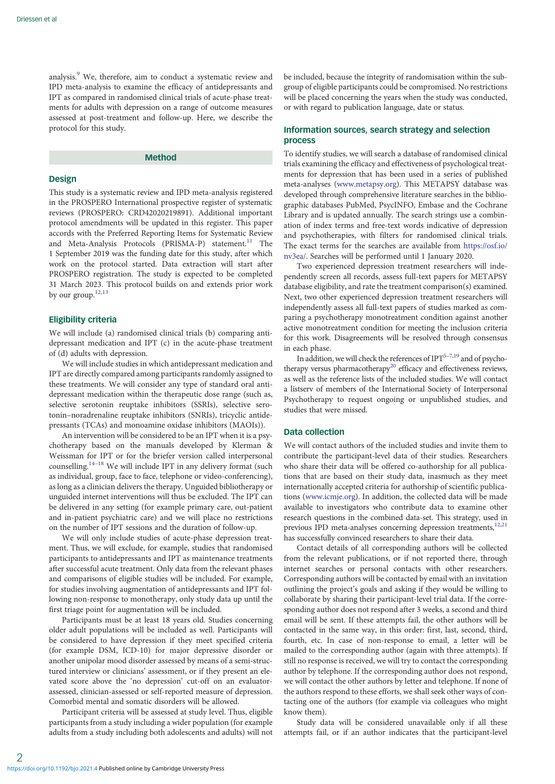analysis.<sup>[9](#page-4-0)</sup> We, therefore, aim to conduct a systematic review and IPD meta-analysis to examine the efficacy of antidepressants and IPT as compared in randomised clinical trials of acute-phase treatments for adults with depression on a range of outcome measures assessed at post-treatment and follow-up. Here, we describe the protocol for this study.

# Method

#### Design

This study is a systematic review and IPD meta-analysis registered in the PROSPERO International prospective register of systematic reviews (PROSPERO: CRD42020219891). Additional important protocol amendments will be updated in this register. This paper accords with the Preferred Reporting Items for Systematic Review and Meta-Analysis Protocols (PRISMA-P) statement.<sup>[11](#page-4-0)</sup> The 1 September 2019 was the funding date for this study, after which work on the protocol started. Data extraction will start after PROSPERO registration. The study is expected to be completed 31 March 2023. This protocol builds on and extends prior work by our group.<sup>[12](#page-4-0),[13](#page-4-0)</sup>

### Eligibility criteria

We will include (a) randomised clinical trials (b) comparing antidepressant medication and IPT (c) in the acute-phase treatment of (d) adults with depression.

We will include studies in which antidepressant medication and IPT are directly compared among participants randomly assigned to these treatments. We will consider any type of standard oral antidepressant medication within the therapeutic dose range (such as, selective serotonin reuptake inhibitors (SSRIs), selective serotonin–noradrenaline reuptake inhibitors (SNRIs), tricyclic antidepressants (TCAs) and monoamine oxidase inhibitors (MAOIs)).

An intervention will be considered to be an IPT when it is a psychotherapy based on the manuals developed by Klerman & Weissman for IPT or for the briefer version called interpersonal counselling.[14](#page-4-0)–[18](#page-4-0) We will include IPT in any delivery format (such as individual, group, face to face, telephone or video-conferencing), as long as a clinician delivers the therapy. Unguided bibliotherapy or unguided internet interventions will thus be excluded. The IPT can be delivered in any setting (for example primary care, out-patient and in-patient psychiatric care) and we will place no restrictions on the number of IPT sessions and the duration of follow-up.

We will only include studies of acute-phase depression treatment. Thus, we will exclude, for example, studies that randomised participants to antidepressants and IPT as maintenance treatments after successful acute treatment. Only data from the relevant phases and comparisons of eligible studies will be included. For example, for studies involving augmentation of antidepressants and IPT following non-response to monotherapy, only study data up until the first triage point for augmentation will be included.

Participants must be at least 18 years old. Studies concerning older adult populations will be included as well. Participants will be considered to have depression if they meet specified criteria (for example DSM, ICD-10) for major depressive disorder or another unipolar mood disorder assessed by means of a semi-structured interview or clinicians' assessment, or if they present an elevated score above the 'no depression' cut-off on an evaluatorassessed, clinician-assessed or self-reported measure of depression. Comorbid mental and somatic disorders will be allowed.

Participant criteria will be assessed at study level. Thus, eligible participants from a study including a wider population (for example adults from a study including both adolescents and adults) will not be included, because the integrity of randomisation within the subgroup of eligible participants could be compromised. No restrictions will be placed concerning the years when the study was conducted, or with regard to publication language, date or status.

## Information sources, search strategy and selection process

To identify studies, we will search a database of randomised clinical trials examining the efficacy and effectiveness of psychological treatments for depression that has been used in a series of published meta-analyses ([www.metapsy.org](https://www.metapsy.org)). This METAPSY database was developed through comprehensive literature searches in the bibliographic databases PubMed, PsycINFO, Embase and the Cochrane Library and is updated annually. The search strings use a combination of index terms and free-text words indicative of depression and psychotherapies, with filters for randomised clinical trials. The exact terms for the searches are available from [https://osf.io/](https://osf.io/nv3ea/) [nv3ea/](https://osf.io/nv3ea/). Searches will be performed until 1 January 2020.

Two experienced depression treatment researchers will independently screen all records, assess full-text papers for METAPSY database eligibility, and rate the treatment comparison(s) examined. Next, two other experienced depression treatment researchers will independently assess all full-text papers of studies marked as comparing a psychotherapy monotreatment condition against another active monotreatment condition for meeting the inclusion criteria for this work. Disagreements will be resolved through consensus in each phase.

In addition, we will check the references of  $IPT^{5-7,19}$  $IPT^{5-7,19}$  $IPT^{5-7,19}$  $IPT^{5-7,19}$  $IPT^{5-7,19}$  and of psycho-therapy versus pharmacotherapy<sup>[20](#page-4-0)</sup> efficacy and effectiveness reviews, as well as the reference lists of the included studies. We will contact a listserv of members of the International Society of Interpersonal Psychotherapy to request ongoing or unpublished studies, and studies that were missed.

# Data collection

We will contact authors of the included studies and invite them to contribute the participant-level data of their studies. Researchers who share their data will be offered co-authorship for all publications that are based on their study data, inasmuch as they meet internationally accepted criteria for authorship of scientific publications ([www.icmje.org](https://www.icmje.org)). In addition, the collected data will be made available to investigators who contribute data to examine other research questions in the combined data-set. This strategy, used in previous IPD meta-analyses concerning depression treatments,<sup>12,21</sup> has successfully convinced researchers to share their data.

Contact details of all corresponding authors will be collected from the relevant publications, or if not reported there, through internet searches or personal contacts with other researchers. Corresponding authors will be contacted by email with an invitation outlining the project's goals and asking if they would be willing to collaborate by sharing their participant-level trial data. If the corresponding author does not respond after 3 weeks, a second and third email will be sent. If these attempts fail, the other authors will be contacted in the same way, in this order: first, last, second, third, fourth, etc. In case of non-response to email, a letter will be mailed to the corresponding author (again with three attempts). If still no response is received, we will try to contact the corresponding author by telephone. If the corresponding author does not respond, we will contact the other authors by letter and telephone. If none of the authors respond to these efforts, we shall seek other ways of contacting one of the authors (for example via colleagues who might know them).

Study data will be considered unavailable only if all these attempts fail, or if an author indicates that the participant-level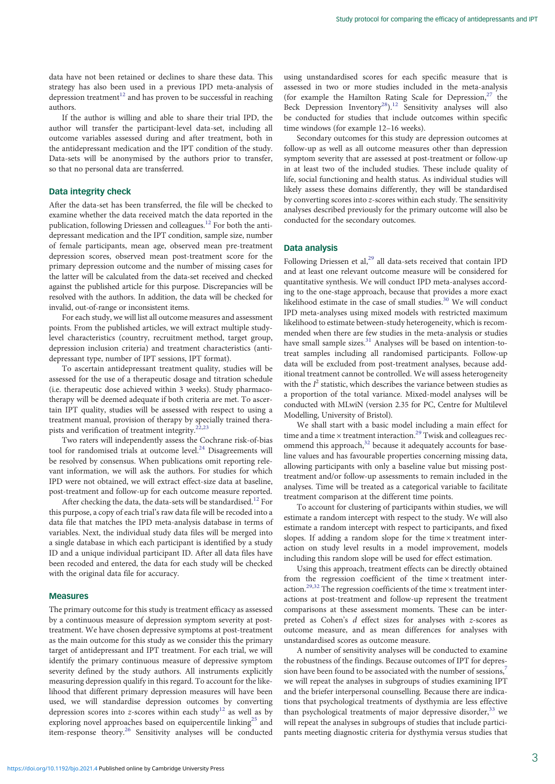data have not been retained or declines to share these data. This strategy has also been used in a previous IPD meta-analysis of depression treatment<sup>[12](#page-4-0)</sup> and has proven to be successful in reaching authors.

If the author is willing and able to share their trial IPD, the author will transfer the participant-level data-set, including all outcome variables assessed during and after treatment, both in the antidepressant medication and the IPT condition of the study. Data-sets will be anonymised by the authors prior to transfer, so that no personal data are transferred.

## Data integrity check

After the data-set has been transferred, the file will be checked to examine whether the data received match the data reported in the publication, following Driessen and colleagues.<sup>[12](#page-4-0)</sup> For both the antidepressant medication and the IPT condition, sample size, number of female participants, mean age, observed mean pre-treatment depression scores, observed mean post-treatment score for the primary depression outcome and the number of missing cases for the latter will be calculated from the data-set received and checked against the published article for this purpose. Discrepancies will be resolved with the authors. In addition, the data will be checked for invalid, out-of-range or inconsistent items.

For each study, we will list all outcome measures and assessment points. From the published articles, we will extract multiple studylevel characteristics (country, recruitment method, target group, depression inclusion criteria) and treatment characteristics (antidepressant type, number of IPT sessions, IPT format).

To ascertain antidepressant treatment quality, studies will be assessed for the use of a therapeutic dosage and titration schedule (i.e. therapeutic dose achieved within 3 weeks). Study pharmacotherapy will be deemed adequate if both criteria are met. To ascertain IPT quality, studies will be assessed with respect to using a treatment manual, provision of therapy by specially trained therapists and verification of treatment integrity. $22,23$  $22,23$  $22,23$ 

Two raters will independently assess the Cochrane risk-of-bias tool for randomised trials at outcome level. $24$  Disagreements will be resolved by consensus. When publications omit reporting relevant information, we will ask the authors. For studies for which IPD were not obtained, we will extract effect-size data at baseline, post-treatment and follow-up for each outcome measure reported.

After checking the data, the data-sets will be standardised.<sup>[12](#page-4-0)</sup> For this purpose, a copy of each trial's raw data file will be recoded into a data file that matches the IPD meta-analysis database in terms of variables. Next, the individual study data files will be merged into a single database in which each participant is identified by a study ID and a unique individual participant ID. After all data files have been recoded and entered, the data for each study will be checked with the original data file for accuracy.

## Measures

The primary outcome for this study is treatment efficacy as assessed by a continuous measure of depression symptom severity at posttreatment. We have chosen depressive symptoms at post-treatment as the main outcome for this study as we consider this the primary target of antidepressant and IPT treatment. For each trial, we will identify the primary continuous measure of depressive symptom severity defined by the study authors. All instruments explicitly measuring depression qualify in this regard. To account for the likelihood that different primary depression measures will have been used, we will standardise depression outcomes by converting depression scores into z-scores within each study<sup>[12](#page-4-0)</sup> as well as by exploring novel approaches based on equipercentile linking<sup>[25](#page-4-0)</sup> and item-response theory.[26](#page-4-0) Sensitivity analyses will be conducted

using unstandardised scores for each specific measure that is assessed in two or more studies included in the meta-analysis (for example the Hamilton Rating Scale for Depression, $27$  the Beck Depression Inventory<sup>28</sup>).<sup>[12](#page-4-0)</sup> Sensitivity analyses will also be conducted for studies that include outcomes within specific time windows (for example 12–16 weeks).

Secondary outcomes for this study are depression outcomes at follow-up as well as all outcome measures other than depression symptom severity that are assessed at post-treatment or follow-up in at least two of the included studies. These include quality of life, social functioning and health status. As individual studies will likely assess these domains differently, they will be standardised by converting scores into  $z$ -scores within each study. The sensitivity analyses described previously for the primary outcome will also be conducted for the secondary outcomes.

## Data analysis

Following Driessen et al,<sup>[29](#page-4-0)</sup> all data-sets received that contain IPD and at least one relevant outcome measure will be considered for quantitative synthesis. We will conduct IPD meta-analyses according to the one-stage approach, because that provides a more exact likelihood estimate in the case of small studies.<sup>30</sup> We will conduct IPD meta-analyses using mixed models with restricted maximum likelihood to estimate between-study heterogeneity, which is recommended when there are few studies in the meta-analysis or studies have small sample sizes.<sup>[31](#page-4-0)</sup> Analyses will be based on intention-totreat samples including all randomised participants. Follow-up data will be excluded from post-treatment analyses, because additional treatment cannot be controlled. We will assess heterogeneity with the  $I^2$  statistic, which describes the variance between studies as a proportion of the total variance. Mixed-model analyses will be conducted with MLwiN (version 2.35 for PC, Centre for Multilevel Modelling, University of Bristol).

We shall start with a basic model including a main effect for time and a time  $\times$  treatment interaction.<sup>[29](#page-4-0)</sup> Twisk and colleagues recommend this approach, $32$  because it adequately accounts for baseline values and has favourable properties concerning missing data, allowing participants with only a baseline value but missing posttreatment and/or follow-up assessments to remain included in the analyses. Time will be treated as a categorical variable to facilitate treatment comparison at the different time points.

To account for clustering of participants within studies, we will estimate a random intercept with respect to the study. We will also estimate a random intercept with respect to participants, and fixed slopes. If adding a random slope for the time  $\times$  treatment interaction on study level results in a model improvement, models including this random slope will be used for effect estimation.

Using this approach, treatment effects can be directly obtained from the regression coefficient of the time  $\times$  treatment inter-action.<sup>[29](#page-4-0),[32](#page-4-0)</sup> The regression coefficients of the time  $\times$  treatment interactions at post-treatment and follow-up represent the treatment comparisons at these assessment moments. These can be interpreted as Cohen's d effect sizes for analyses with z-scores as outcome measure, and as mean differences for analyses with unstandardised scores as outcome measure.

A number of sensitivity analyses will be conducted to examine the robustness of the findings. Because outcomes of IPT for depression have been found to be associated with the number of sessions,<sup>7</sup> we will repeat the analyses in subgroups of studies examining IPT and the briefer interpersonal counselling. Because there are indications that psychological treatments of dysthymia are less effective than psychological treatments of major depressive disorder,  $33$  we will repeat the analyses in subgroups of studies that include participants meeting diagnostic criteria for dysthymia versus studies that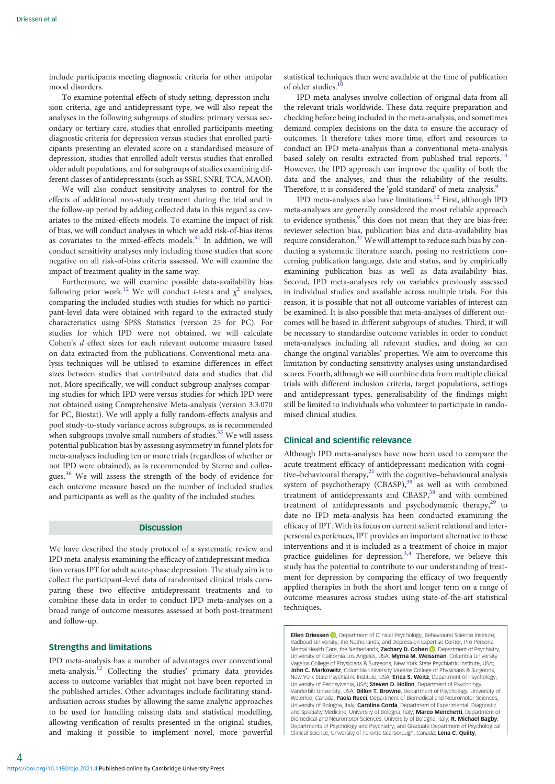include participants meeting diagnostic criteria for other unipolar mood disorders.

To examine potential effects of study setting, depression inclusion criteria, age and antidepressant type, we will also repeat the analyses in the following subgroups of studies: primary versus secondary or tertiary care, studies that enrolled participants meeting diagnostic criteria for depression versus studies that enrolled participants presenting an elevated score on a standardised measure of depression, studies that enrolled adult versus studies that enrolled older adult populations, and for subgroups of studies examining different classes of antidepressants (such as SSRI, SNRI, TCA, MAOI).

We will also conduct sensitivity analyses to control for the effects of additional non-study treatment during the trial and in the follow-up period by adding collected data in this regard as covariates to the mixed-effects models. To examine the impact of risk of bias, we will conduct analyses in which we add risk-of-bias items as covariates to the mixed-effects models.<sup>34</sup> In addition, we will conduct sensitivity analyses only including those studies that score negative on all risk-of-bias criteria assessed. We will examine the impact of treatment quality in the same way.

Furthermore, we will examine possible data-availability bias following prior work.<sup>[12](#page-4-0)</sup> We will conduct t-tests and  $\chi^2$  analyses, comparing the included studies with studies for which no participant-level data were obtained with regard to the extracted study characteristics using SPSS Statistics (version 25 for PC). For studies for which IPD were not obtained, we will calculate Cohen's d effect sizes for each relevant outcome measure based on data extracted from the publications. Conventional meta-analysis techniques will be utilised to examine differences in effect sizes between studies that contributed data and studies that did not. More specifically, we will conduct subgroup analyses comparing studies for which IPD were versus studies for which IPD were not obtained using Comprehensive Meta-analysis (version 3.3.070 for PC, Biostat). We will apply a fully random-effects analysis and pool study-to-study variance across subgroups, as is recommended when subgroups involve small numbers of studies.<sup>35</sup> We will assess potential publication bias by assessing asymmetry in funnel plots for meta-analyses including ten or more trials (regardless of whether or not IPD were obtained), as is recommended by Sterne and colleagues.[36](#page-5-0) We will assess the strength of the body of evidence for each outcome measure based on the number of included studies and participants as well as the quality of the included studies.

## **Discussion**

We have described the study protocol of a systematic review and IPD meta-analysis examining the efficacy of antidepressant medication versus IPT for adult acute-phase depression. The study aim is to collect the participant-level data of randomised clinical trials comparing these two effective antidepressant treatments and to combine these data in order to conduct IPD meta-analyses on a broad range of outcome measures assessed at both post-treatment and follow-up.

## Strengths and limitations

IPD meta-analysis has a number of advantages over conventional meta-analysis.<sup>[12](#page-4-0)</sup> Collecting the studies' primary data provides access to outcome variables that might not have been reported in the published articles. Other advantages include facilitating standardisation across studies by allowing the same analytic approaches to be used for handling missing data and statistical modelling, allowing verification of results presented in the original studies, and making it possible to implement novel, more powerful statistical techniques than were available at the time of publication of older studies.<sup>[10](#page-4-0)</sup>

IPD meta-analyses involve collection of original data from all the relevant trials worldwide. These data require preparation and checking before being included in the meta-analysis, and sometimes demand complex decisions on the data to ensure the accuracy of outcomes. It therefore takes more time, effort and resources to conduct an IPD meta-analysis than a conventional meta-analysis based solely on results extracted from published trial reports.<sup>[10](#page-4-0)</sup> However, the IPD approach can improve the quality of both the data and the analyses, and thus the reliability of the results. Therefore, it is considered the 'gold standard' of meta-analysis.<sup>[9](#page-4-0)</sup>

IPD meta-analyses also have limitations[.12](#page-4-0) First, although IPD meta-analyses are generally considered the most reliable approach to evidence synthesis,<sup>[9](#page-4-0)</sup> this does not mean that they are bias-free: reviewer selection bias, publication bias and data-availability bias require consideration.[37](#page-5-0) We will attempt to reduce such bias by conducting a systematic literature search, posing no restrictions concerning publication language, date and status, and by empirically examining publication bias as well as data-availability bias. Second, IPD meta-analyses rely on variables previously assessed in individual studies and available across multiple trials. For this reason, it is possible that not all outcome variables of interest can be examined. It is also possible that meta-analyses of different outcomes will be based in different subgroups of studies. Third, it will be necessary to standardise outcome variables in order to conduct meta-analyses including all relevant studies, and doing so can change the original variables' properties. We aim to overcome this limitation by conducting sensitivity analyses using unstandardised scores. Fourth, although we will combine data from multiple clinical trials with different inclusion criteria, target populations, settings and antidepressant types, generalisability of the findings might still be limited to individuals who volunteer to participate in randomised clinical studies.

## Clinical and scientific relevance

Although IPD meta-analyses have now been used to compare the acute treatment efficacy of antidepressant medication with cognitive–behavioural therapy, $^{21}$  with the cognitive–behavioural analysis system of psychotherapy  $(CBASP)$ ,<sup>[38](#page-5-0)</sup> as well as with combined treatment of antidepressants and CBASP,<sup>[38](#page-5-0)</sup> and with combined treatment of antidepressants and psychodynamic therapy,<sup>[29](#page-4-0)</sup> to date no IPD meta-analysis has been conducted examining the efficacy of IPT. With its focus on current salient relational and interpersonal experiences, IPT provides an important alternative to these interventions and it is included as a treatment of choice in major practice guidelines for depression.<sup>[3,4](#page-4-0)</sup> Therefore, we believe this study has the potential to contribute to our understanding of treatment for depression by comparing the efficacy of two frequently applied therapies in both the short and longer term on a range of outcome measures across studies using state-of-the-art statistical techniques.

Ellen Driessen (D)[,](https://orcid.org/0000-0002-9602-1548) Department of Clinical Psychology, Behavioural Science Institute, Radboud University, the Netherlands; and Depression Expertise Center, Pro Persona Mental Health Care, the Netherlands: **Zachary D. Cohen D.** Department of Psychiatry, University of California Los Angeles, USA; **Myrna M. Weissman**, Columbia University Vagelos College of Physicians & Surgeons, New York State Psychiatric Institute, USA; John C. Markowitz, Columbia University Vagelos College of Physicians & Surgeons New York State Psychiatric Institute, USA; Erica S. Weitz, Department of Psychology, University of Pennsylvania, USA; Steven D. Hollon, Department of Psychology, Vanderbilt University, USA; **Dillon T. Browne,** Department of Psychology, University of<br>Waterloo, Canada; **Paola Rucci**, Department of Biomedical and Neuromotor Sciences, University of Bologna, Italy; Carolina Corda, Department of Experimental, Diagnostic and Specialty Medicine, University of Bologna, Italy; **Marco Menchetti**, Department of<br>Biomedical and Neuromotor Sciences, University of Bologna, Italy; **R. Michael Bagby**, Departments of Psychology and Psychiatry, and Graduate Department of Psychol Clinical Science, University of Toronto Scarborough, Canada; Lena C. Quilty,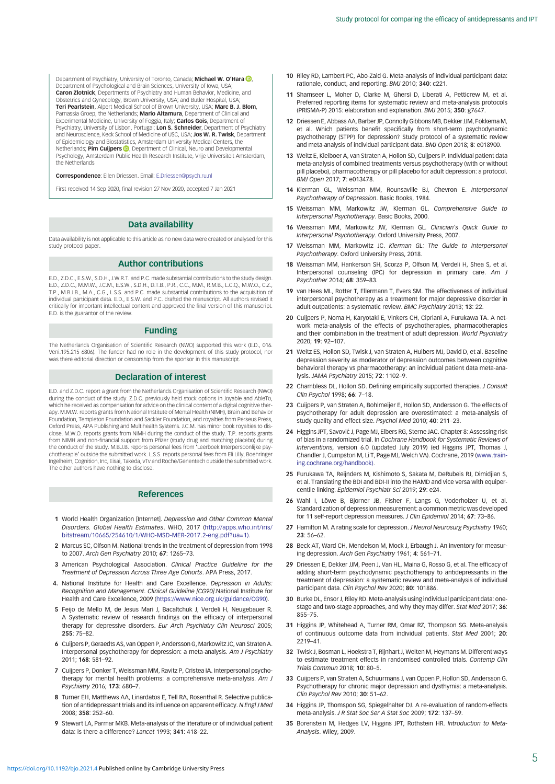<span id="page-4-0"></span>Department of Psychiatry, University of Toronto, Canada; Michael W. O'Hara **D**, Department of Psychological and Brain Sciences, University of Iowa, USA; Caron Zlotnick, Departments of Psychiatry and Human Behavior, Medicine, and Obstetrics and Gynecology, Brown University, USA; and Butler Hospital, USA; Teri Pearlstein, Alpert Medical School of Brown University, USA; Marc B. J. Blom, Parnassia Groep, the Netherlands; **Mario Altamura**, Department of Clinical and<br>Experimental Medicine, University of Foggia, Italy; **Carlos Gois**, Department of Psychiatry, University of Lisbon, Portugal; Lon S. Schneider, Department of Psychiatry and Neuroscience, Keck School of Medicine of USC, USA; **Jos W. R. Twisk**, Department<br>of Epidemiology and Biostatistics, Amsterdam University Medical Centers, the Netherlands; **Pim Cuijpers ID**[,](https://orcid.org/0000-0001-5497-2743) Department of Clinical, Neuro and Developmental Psychology, Amsterdam Public Health Research Institute, Vrije Universiteit Amsterdam, the Netherlands

#### Correspondence: Ellen Driessen. Email: [E.Driessen@psych.ru.nl](mailto:E.Driessen@psych.ru.nl)

First received 14 Sep 2020, final revision 27 Nov 2020, accepted 7 Jan 2021

#### Data availability

Data availability is not applicable to this article as no new data were created or analysed for this study protocol paper.

#### Author contributions

E.D., Z.D.C., E.S.W., S.D.H., J.W.R.T. and P.C. made substantial contributions to the study design. E.D., Z.D.C., M.M.W., J.C.M., E.S.W., S.D.H., D.T.B., P.R., C.C., M.M., R.M.B., L.C.Q., M.W.O., C.Z., T.P., M.B.J.B., M.A., C.G., L.S.S. and P.C. made substantial contributions to the acquisition of individual participant data. E.D., E.S.W. and P.C. drafted the manuscript. All authors revised it critically for important intellectual content and approved the final version of this manuscript. E.D. is the guarantor of the review.

#### Funding

The Netherlands Organisation of Scientific Research (NWO) supported this work (E.D., 016. Veni.195.215 6806). The funder had no role in the development of this study protocol, nor was there editorial direction or censorship from the sponsor in this manuscript.

#### Declaration of interest

E.D. and Z.D.C. report a grant from the Netherlands Organisation of Scientific Research (NWO) during the conduct of the study. Z.D.C. previously held stock options in Joyable and AbleTo, which he received as compensation for advice on the clinical content of a digital cognitive therapy. M.M.W. reports grants from National Institute of Mental Health (NIMH), Brain and Behavior Foundation, Templeton Foundation and Sackler Foundation, and royalties from Perseus Press, Oxford Press, APA Publishing and Multihealth Systems. J.C.M. has minor book royalties to disclose. M.W.O. reports grants from NIMH during the conduct of the study. T.P. reports grants from NIMH and non-financial support from Pfizer (study drug and matching placebo) during the conduct of the study. M.B.J.B. reports personal fees from 'Leerboek Interpersoonlijke psychotherapie' outside the submitted work. L.S.S. reports personal fees from Eli Lilly, Boehringer Ingelheim, Cognition, Inc, Eisai, Takeda, vTv and Roche/Genentech outside the submitted work. The other authors have nothing to disclose.

## References

- 1 World Health Organization [Internet]. Depression and Other Common Mental Disorders. Global Health Estimates. WHO, 2017 ([http://apps.who.int/iris/](http://apps.who.int/iris/bitstream/10665/254610/1/WHO-MSD-MER-2017.2-eng.pdf?ua=1).) [bitstream/10665/254610/1/WHO-MSD-MER-2017.2-eng.pdf?ua=1\).](http://apps.who.int/iris/bitstream/10665/254610/1/WHO-MSD-MER-2017.2-eng.pdf?ua=1).)
- 2 Marcus SC, Olfson M. National trends in the treatment of depression from 1998 to 2007. Arch Gen Psychiatry 2010; 67: 1265–73.
- 3 American Psychological Association. Clinical Practice Guideline for the Treatment of Depression Across Three Age Cohorts. APA Press, 2017.
- 4. National Institute for Health and Care Excellence. Depression in Adults: Recognition and Management. Clinical Guideline [CG90].National Institute for Health and Care Excellence, 2009 (<https://www.nice.org.uk/guidance/CG90>).
- 5 Feijo de Mello M, de Jesus Mari J, Bacaltchuk J, Verdeli H, Neugebauer R. A Systematic review of research findings on the efficacy of interpersonal therapy for depressive disorders. Eur Arch Psychiatry Clin Neurosci 2005; 255: 75–82.
- 6 Cuijpers P, Geraedts AS, van Oppen P, Andersson G, Markowitz JC, van Straten A. Interpersonal psychotherapy for depression: a meta-analysis. Am J Psychiatry 2011; 168: 581–92.
- 7 Cuijpers P, Donker T, Weissman MM, Ravitz P, Cristea IA. Interpersonal psychotherapy for mental health problems: a comprehensive meta-analysis. Am J Psychiatry 2016; 173: 680–7.
- 8 Turner EH, Matthews AA, Linardatos E, Tell RA, Rosenthal R. Selective publication of antidepressant trials and its influence on apparent efficacy. N Engl J Med 2008; 358: 252–60.
- 9 Stewart LA, Parmar MKB. Meta-analysis of the literature or of individual patient data: is there a difference? Lancet 1993; 341: 418–22.
- 10 Riley RD, Lambert PC, Abo-Zaid G. Meta-analysis of individual participant data: rationale, conduct, and reporting. BMJ 2010; 340: c221.
- 11 Shamseer L, Moher D, Clarke M, Ghersi D, Liberati A, Petticrew M, et al. Preferred reporting items for systematic review and meta-analysis protocols (PRISMA-P) 2015: elaboration and explanation. BMJ 2015; 350: g7647.
- 12 Driessen E, Abbass AA, Barber JP, Connolly Gibbons MB, Dekker JJM, Fokkema M, et al. Which patients benefit specifically from short-term psychodynamic psychotherapy (STPP) for depression? Study protocol of a systematic review and meta-analysis of individual participant data. BMJ Open 2018; 8: e018900.
- 13 Weitz E, Kleiboer A, van Straten A, Hollon SD, Cuijpers P. Individual patient data meta-analysis of combined treatments versus psychotherapy (with or without pill placebo), pharmacotherapy or pill placebo for adult depression: a protocol. BMJ Open 2017; 7: e013478.
- 14 Klerman GL, Weissman MM, Rounsaville BJ, Chevron E. Interpersonal Psychotherapy of Depression. Basic Books, 1984.
- 15 Weissman MM, Markowitz JW, Klerman GL. Comprehensive Guide to Interpersonal Psychotherapy. Basic Books, 2000.
- 16 Weissman MM, Markowitz JW, Klerman GL. Clinician's Quick Guide to Interpersonal Psychotherapy. Oxford University Press, 2007.
- 17 Weissman MM, Markowitz JC. Klerman GL: The Guide to Interpersonal Psychotherapy. Oxford University Press, 2018.
- 18 Weissman MM, Hankerson SH, Scorza P, Olfson M, Verdeli H, Shea S, et al. Interpersonal counseling (IPC) for depression in primary care. Am J Psychother 2014; 68: 359–83.
- 19 van Hees ML, Rotter T, Ellermann T, Evers SM. The effectiveness of individual interpersonal psychotherapy as a treatment for major depressive disorder in adult outpatients: a systematic review. BMC Psychiatry 2013; 13: 22.
- 20 Cuijpers P, Noma H, Karyotaki E, Vinkers CH, Cipriani A, Furukawa TA. A network meta-analysis of the effects of psychotherapies, pharmacotherapies and their combination in the treatment of adult depression. World Psychiatry 2020; 19: 92–107.
- 21 Weitz ES, Hollon SD, Twisk J, van Straten A, Huibers MJ, David D, et al. Baseline depression severity as moderator of depression outcomes between cognitive behavioral therapy vs pharmacotherapy: an individual patient data meta-analysis. JAMA Psychiatry 2015; 72: 1102–9.
- 22 Chambless DL, Hollon SD. Defining empirically supported therapies. J Consult Clin Psychol 1998; 66: 7–18.
- 23 Cuijpers P, van Straten A, Bohlmeijer E, Hollon SD, Andersson G. The effects of psychotherapy for adult depression are overestimated: a meta-analysis of study quality and effect size. Psychol Med 2010; 40: 211–23.
- 24 Higgins JPT, SavovićJ, Page MJ, Elbers RG, Sterne JAC. Chapter 8: Assessing risk of bias in a randomized trial. In Cochrane Handbook for Systematic Reviews of Interventions, version 6.0 (updated July 2019) (ed Higgins JPT, Thomas J, Chandler J, Cumpston M, Li T, Page MJ, Welch VA). Cochrane, 2019 ([www.train](https://www.training.cochrane.org/handbook))[ing.cochrane.org/handbook\).](https://www.training.cochrane.org/handbook))
- 25 Furukawa TA, Reijnders M, Kishimoto S, Sakata M, DeRubeis RJ, Dimidjian S, et al. Translating the BDI and BDI-II into the HAMD and vice versa with equipercentile linking. Epidemiol Psychiatr Sci 2019; 29: e24.
- 26 Wahl I, Löwe B, Bjorner JB, Fisher F, Langs G, Voderholzer U, et al. Standardization of depression measurement: a common metric was developed for 11 self-report depression measures. J Clin Epidemiol 2014; 67: 73–86.
- 27 Hamilton M. A rating scale for depression. J Neurol Neurosurg Psychiatry 1960; 23: 56–62.
- 28 Beck AT, Ward CH, Mendelson M, Mock J, Erbaugh J. An inventory for measuring depression. Arch Gen Psychiatry 1961; 4: 561–71.
- 29 Driessen E, Dekker JJM, Peen J, Van HL, Maina G, Rosso G, et al. The efficacy of adding short-term psychodynamic psychotherapy to antidepressants in the treatment of depression: a systematic review and meta-analysis of individual participant data. Clin Psychol Rev 2020; 80: 101886.
- 30 Burke DL, Ensor J, Riley RD. Meta-analysis using individual participant data: onestage and two-stage approaches, and why they may differ. Stat Med 2017; 36: 855–75.
- 31 Higgins JP, Whitehead A, Turner RM, Omar RZ, Thompson SG. Meta-analysis of continuous outcome data from individual patients. Stat Med 2001; 20: 2219–41.
- 32 Twisk J, Bosman L, Hoekstra T, Rijnhart J, Welten M, Heymans M. Different ways to estimate treatment effects in randomised controlled trials. Contemp Clin Trials Commun 2018; 10: 80–5.
- 33 Cuijpers P, van Straten A, Schuurmans J, van Oppen P, Hollon SD, Andersson G. Psychotherapy for chronic major depression and dysthymia: a meta-analysis. Clin Psychol Rev 2010; 30: 51–62.
- 34 Higgins JP, Thomspon SG, Spiegelhalter DJ. A re-evaluation of random-effects meta-analysis. J R Stat Soc Ser A Stat Soc 2009; 172: 137–59.
- 35 Borenstein M, Hedges LV, Higgins JPT, Rothstein HR. Introduction to Meta-Analysis. Wiley, 2009.